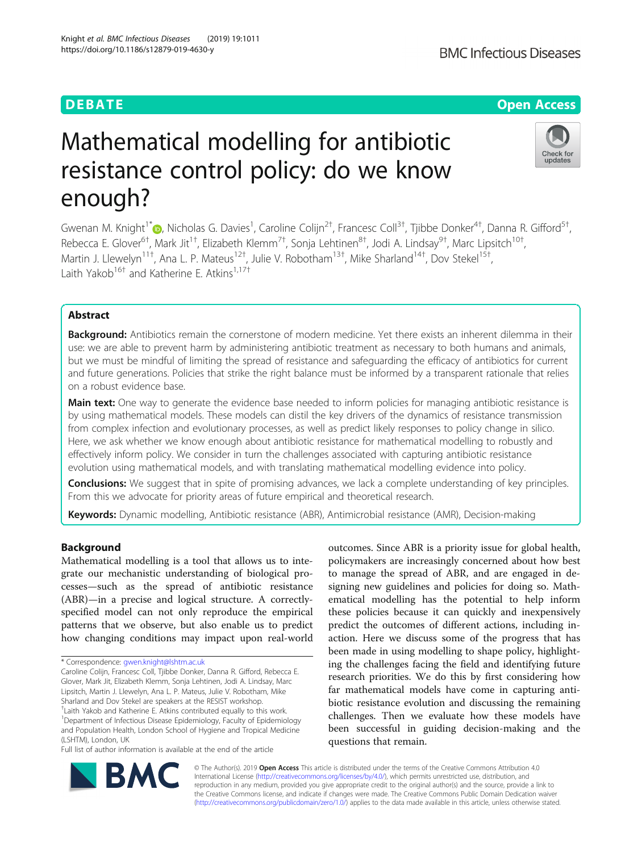# Mathematical modelling for antibiotic resistance control policy: do we know enough?

Gwenan M. Knight<sup>1[\\*](http://orcid.org/0000-0002-7263-9896)</sup>�, Nicholas G. Davies<sup>1</sup>, Caroline Colijn<sup>2†</sup>, Francesc Coll<sup>3†</sup>, Tjibbe Donker<sup>4†</sup>, Danna R. Gifford<sup>5†</sup> , Rebecca E. Glover<sup>6†</sup>, Mark Jit<sup>1†</sup>, Elizabeth Klemm<sup>7†</sup>, Sonja Lehtinen<sup>8†</sup>, Jodi A. Lindsay<sup>9†</sup>, Marc Lipsitch<sup>10†</sup> , Martin J. Llewelyn<sup>11†</sup>, Ana L. P. Mateus<sup>12†</sup>, Julie V. Robotham<sup>13†</sup>, Mike Sharland<sup>14†</sup>, Dov Stekel<sup>15†</sup> , Laith Yakob<sup>16†</sup> and Katherine E. Atkins<sup>1,17†</sup>

# Abstract

Background: Antibiotics remain the cornerstone of modern medicine. Yet there exists an inherent dilemma in their use: we are able to prevent harm by administering antibiotic treatment as necessary to both humans and animals, but we must be mindful of limiting the spread of resistance and safeguarding the efficacy of antibiotics for current and future generations. Policies that strike the right balance must be informed by a transparent rationale that relies on a robust evidence base.

Main text: One way to generate the evidence base needed to inform policies for managing antibiotic resistance is by using mathematical models. These models can distil the key drivers of the dynamics of resistance transmission from complex infection and evolutionary processes, as well as predict likely responses to policy change in silico. Here, we ask whether we know enough about antibiotic resistance for mathematical modelling to robustly and effectively inform policy. We consider in turn the challenges associated with capturing antibiotic resistance evolution using mathematical models, and with translating mathematical modelling evidence into policy.

**Conclusions:** We suggest that in spite of promising advances, we lack a complete understanding of key principles. From this we advocate for priority areas of future empirical and theoretical research.

Keywords: Dynamic modelling, Antibiotic resistance (ABR), Antimicrobial resistance (AMR), Decision-making

# Background

Mathematical modelling is a tool that allows us to integrate our mechanistic understanding of biological processes—such as the spread of antibiotic resistance (ABR)—in a precise and logical structure. A correctlyspecified model can not only reproduce the empirical patterns that we observe, but also enable us to predict how changing conditions may impact upon real-world

Caroline Colijn, Francesc Coll, Tjibbe Donker, Danna R. Gifford, Rebecca E. Glover, Mark Jit, Elizabeth Klemm, Sonja Lehtinen, Jodi A. Lindsay, Marc Lipsitch, Martin J. Llewelyn, Ana L. P. Mateus, Julie V. Robotham, Mike Sharland and Dov Stekel are speakers at the RESIST workshop. † Laith Yakob and Katherine E. Atkins contributed equally to this work. <sup>1</sup>Department of Infectious Disease Epidemiology, Faculty of Epidemiology and Population Health, London School of Hygiene and Tropical Medicine (LSHTM), London, UK

Full list of author information is available at the end of the article

outcomes. Since ABR is a priority issue for global health, policymakers are increasingly concerned about how best to manage the spread of ABR, and are engaged in designing new guidelines and policies for doing so. Mathematical modelling has the potential to help inform these policies because it can quickly and inexpensively predict the outcomes of different actions, including inaction. Here we discuss some of the progress that has been made in using modelling to shape policy, highlighting the challenges facing the field and identifying future research priorities. We do this by first considering how far mathematical models have come in capturing antibiotic resistance evolution and discussing the remaining challenges. Then we evaluate how these models have been successful in guiding decision-making and the questions that remain.

© The Author(s). 2019 **Open Access** This article is distributed under the terms of the Creative Commons Attribution 4.0 International License [\(http://creativecommons.org/licenses/by/4.0/](http://creativecommons.org/licenses/by/4.0/)), which permits unrestricted use, distribution, and reproduction in any medium, provided you give appropriate credit to the original author(s) and the source, provide a link to the Creative Commons license, and indicate if changes were made. The Creative Commons Public Domain Dedication waiver [\(http://creativecommons.org/publicdomain/zero/1.0/](http://creativecommons.org/publicdomain/zero/1.0/)) applies to the data made available in this article, unless otherwise stated.

Knight et al. BMC Infectious Diseases (2019) 19:1011 https://doi.org/10.1186/s12879-019-4630-y







<sup>\*</sup> Correspondence: [gwen.knight@lshtm.ac.uk](mailto:gwen.knight@lshtm.ac.uk)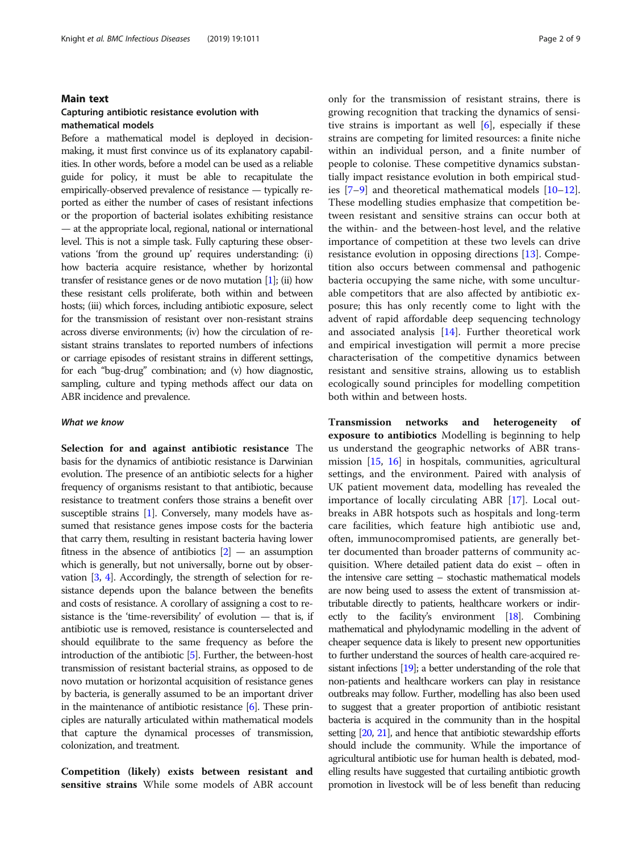#### Main text

## Capturing antibiotic resistance evolution with mathematical models

Before a mathematical model is deployed in decisionmaking, it must first convince us of its explanatory capabilities. In other words, before a model can be used as a reliable guide for policy, it must be able to recapitulate the empirically-observed prevalence of resistance — typically reported as either the number of cases of resistant infections or the proportion of bacterial isolates exhibiting resistance — at the appropriate local, regional, national or international level. This is not a simple task. Fully capturing these observations 'from the ground up' requires understanding: (i) how bacteria acquire resistance, whether by horizontal transfer of resistance genes or de novo mutation  $[1]$  $[1]$  $[1]$ ; (ii) how these resistant cells proliferate, both within and between hosts; (iii) which forces, including antibiotic exposure, select for the transmission of resistant over non-resistant strains across diverse environments; (iv) how the circulation of resistant strains translates to reported numbers of infections or carriage episodes of resistant strains in different settings, for each "bug-drug" combination; and (v) how diagnostic, sampling, culture and typing methods affect our data on ABR incidence and prevalence.

Selection for and against antibiotic resistance The basis for the dynamics of antibiotic resistance is Darwinian evolution. The presence of an antibiotic selects for a higher frequency of organisms resistant to that antibiotic, because resistance to treatment confers those strains a benefit over susceptible strains [\[1\]](#page-6-0). Conversely, many models have assumed that resistance genes impose costs for the bacteria that carry them, resulting in resistant bacteria having lower fitness in the absence of antibiotics  $[2]$  — an assumption which is generally, but not universally, borne out by observation [\[3](#page-6-0), [4](#page-6-0)]. Accordingly, the strength of selection for resistance depends upon the balance between the benefits and costs of resistance. A corollary of assigning a cost to resistance is the 'time-reversibility' of evolution — that is, if antibiotic use is removed, resistance is counterselected and should equilibrate to the same frequency as before the introduction of the antibiotic [\[5\]](#page-6-0). Further, the between-host transmission of resistant bacterial strains, as opposed to de novo mutation or horizontal acquisition of resistance genes by bacteria, is generally assumed to be an important driver in the maintenance of antibiotic resistance  $[6]$ . These principles are naturally articulated within mathematical models that capture the dynamical processes of transmission, colonization, and treatment.

Competition (likely) exists between resistant and sensitive strains While some models of ABR account

only for the transmission of resistant strains, there is growing recognition that tracking the dynamics of sensitive strains is important as well  $[6]$  $[6]$ , especially if these strains are competing for limited resources: a finite niche within an individual person, and a finite number of people to colonise. These competitive dynamics substantially impact resistance evolution in both empirical studies [[7](#page-6-0)–[9](#page-6-0)] and theoretical mathematical models [[10](#page-6-0)–[12](#page-6-0)]. These modelling studies emphasize that competition between resistant and sensitive strains can occur both at the within- and the between-host level, and the relative importance of competition at these two levels can drive resistance evolution in opposing directions [\[13\]](#page-6-0). Competition also occurs between commensal and pathogenic bacteria occupying the same niche, with some unculturable competitors that are also affected by antibiotic exposure; this has only recently come to light with the advent of rapid affordable deep sequencing technology and associated analysis [\[14](#page-6-0)]. Further theoretical work and empirical investigation will permit a more precise characterisation of the competitive dynamics between resistant and sensitive strains, allowing us to establish ecologically sound principles for modelling competition both within and between hosts.

Transmission networks and heterogeneity of exposure to antibiotics Modelling is beginning to help us understand the geographic networks of ABR transmission [[15](#page-6-0), [16\]](#page-6-0) in hospitals, communities, agricultural settings, and the environment. Paired with analysis of UK patient movement data, modelling has revealed the importance of locally circulating ABR [[17](#page-6-0)]. Local outbreaks in ABR hotspots such as hospitals and long-term care facilities, which feature high antibiotic use and, often, immunocompromised patients, are generally better documented than broader patterns of community acquisition. Where detailed patient data do exist – often in the intensive care setting – stochastic mathematical models are now being used to assess the extent of transmission attributable directly to patients, healthcare workers or indirectly to the facility's environment [[18\]](#page-6-0). Combining mathematical and phylodynamic modelling in the advent of cheaper sequence data is likely to present new opportunities to further understand the sources of health care-acquired resistant infections [\[19\]](#page-6-0); a better understanding of the role that non-patients and healthcare workers can play in resistance outbreaks may follow. Further, modelling has also been used to suggest that a greater proportion of antibiotic resistant bacteria is acquired in the community than in the hospital setting [\[20](#page-6-0), [21](#page-6-0)], and hence that antibiotic stewardship efforts should include the community. While the importance of agricultural antibiotic use for human health is debated, modelling results have suggested that curtailing antibiotic growth promotion in livestock will be of less benefit than reducing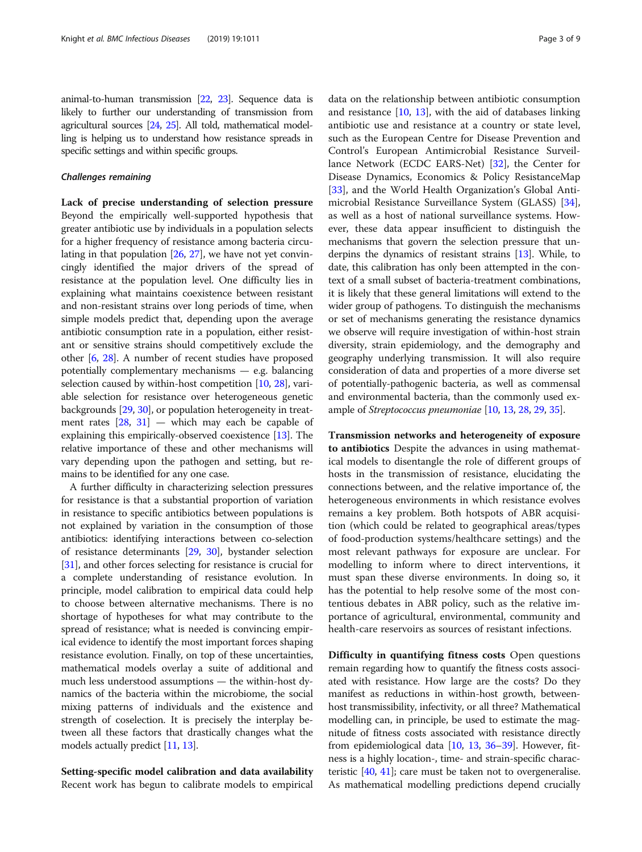animal-to-human transmission [\[22](#page-6-0), [23\]](#page-6-0). Sequence data is likely to further our understanding of transmission from agricultural sources [\[24](#page-6-0), [25](#page-6-0)]. All told, mathematical modelling is helping us to understand how resistance spreads in specific settings and within specific groups.

#### Challenges remaining

Lack of precise understanding of selection pressure Beyond the empirically well-supported hypothesis that greater antibiotic use by individuals in a population selects for a higher frequency of resistance among bacteria circulating in that population  $[26, 27]$  $[26, 27]$  $[26, 27]$  $[26, 27]$  $[26, 27]$ , we have not yet convincingly identified the major drivers of the spread of resistance at the population level. One difficulty lies in explaining what maintains coexistence between resistant and non-resistant strains over long periods of time, when simple models predict that, depending upon the average antibiotic consumption rate in a population, either resistant or sensitive strains should competitively exclude the other [[6,](#page-6-0) [28\]](#page-7-0). A number of recent studies have proposed potentially complementary mechanisms — e.g. balancing selection caused by within-host competition [[10,](#page-6-0) [28](#page-7-0)], variable selection for resistance over heterogeneous genetic backgrounds [\[29](#page-7-0), [30](#page-7-0)], or population heterogeneity in treatment rates  $[28, 31]$  $[28, 31]$  $[28, 31]$  $[28, 31]$  $[28, 31]$  — which may each be capable of explaining this empirically-observed coexistence [[13](#page-6-0)]. The relative importance of these and other mechanisms will vary depending upon the pathogen and setting, but remains to be identified for any one case.

A further difficulty in characterizing selection pressures for resistance is that a substantial proportion of variation in resistance to specific antibiotics between populations is not explained by variation in the consumption of those antibiotics: identifying interactions between co-selection of resistance determinants [[29](#page-7-0), [30](#page-7-0)], bystander selection [[31](#page-7-0)], and other forces selecting for resistance is crucial for a complete understanding of resistance evolution. In principle, model calibration to empirical data could help to choose between alternative mechanisms. There is no shortage of hypotheses for what may contribute to the spread of resistance; what is needed is convincing empirical evidence to identify the most important forces shaping resistance evolution. Finally, on top of these uncertainties, mathematical models overlay a suite of additional and much less understood assumptions — the within-host dynamics of the bacteria within the microbiome, the social mixing patterns of individuals and the existence and strength of coselection. It is precisely the interplay between all these factors that drastically changes what the models actually predict [[11,](#page-6-0) [13\]](#page-6-0).

Setting-specific model calibration and data availability Recent work has begun to calibrate models to empirical data on the relationship between antibiotic consumption and resistance [[10,](#page-6-0) [13\]](#page-6-0), with the aid of databases linking antibiotic use and resistance at a country or state level, such as the European Centre for Disease Prevention and Control's European Antimicrobial Resistance Surveillance Network (ECDC EARS-Net) [\[32](#page-7-0)], the Center for Disease Dynamics, Economics & Policy ResistanceMap [[33\]](#page-7-0), and the World Health Organization's Global Antimicrobial Resistance Surveillance System (GLASS) [\[34](#page-7-0)], as well as a host of national surveillance systems. However, these data appear insufficient to distinguish the mechanisms that govern the selection pressure that underpins the dynamics of resistant strains [[13](#page-6-0)]. While, to date, this calibration has only been attempted in the context of a small subset of bacteria-treatment combinations, it is likely that these general limitations will extend to the wider group of pathogens. To distinguish the mechanisms or set of mechanisms generating the resistance dynamics we observe will require investigation of within-host strain diversity, strain epidemiology, and the demography and geography underlying transmission. It will also require consideration of data and properties of a more diverse set of potentially-pathogenic bacteria, as well as commensal and environmental bacteria, than the commonly used example of Streptococcus pneumoniae [\[10](#page-6-0), [13](#page-6-0), [28,](#page-7-0) [29](#page-7-0), [35](#page-7-0)].

Transmission networks and heterogeneity of exposure to antibiotics Despite the advances in using mathematical models to disentangle the role of different groups of hosts in the transmission of resistance, elucidating the connections between, and the relative importance of, the heterogeneous environments in which resistance evolves remains a key problem. Both hotspots of ABR acquisition (which could be related to geographical areas/types of food-production systems/healthcare settings) and the most relevant pathways for exposure are unclear. For modelling to inform where to direct interventions, it must span these diverse environments. In doing so, it has the potential to help resolve some of the most contentious debates in ABR policy, such as the relative importance of agricultural, environmental, community and health-care reservoirs as sources of resistant infections.

Difficulty in quantifying fitness costs Open questions remain regarding how to quantify the fitness costs associated with resistance. How large are the costs? Do they manifest as reductions in within-host growth, betweenhost transmissibility, infectivity, or all three? Mathematical modelling can, in principle, be used to estimate the magnitude of fitness costs associated with resistance directly from epidemiological data [[10](#page-6-0), [13](#page-6-0), [36](#page-7-0)–[39](#page-7-0)]. However, fitness is a highly location-, time- and strain-specific characteristic [\[40,](#page-7-0) [41\]](#page-7-0); care must be taken not to overgeneralise. As mathematical modelling predictions depend crucially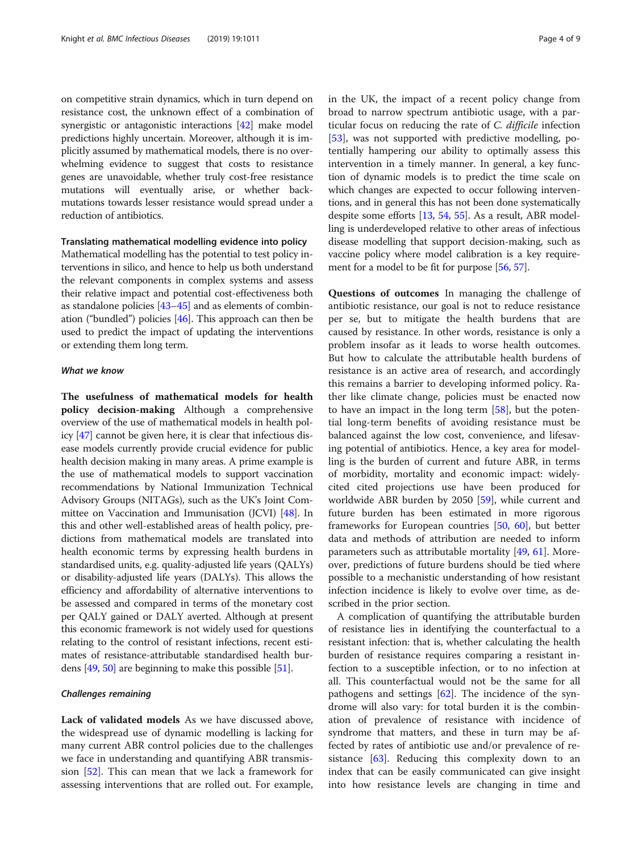on competitive strain dynamics, which in turn depend on resistance cost, the unknown effect of a combination of synergistic or antagonistic interactions [[42](#page-7-0)] make model predictions highly uncertain. Moreover, although it is implicitly assumed by mathematical models, there is no overwhelming evidence to suggest that costs to resistance genes are unavoidable, whether truly cost-free resistance mutations will eventually arise, or whether backmutations towards lesser resistance would spread under a reduction of antibiotics.

#### Translating mathematical modelling evidence into policy

Mathematical modelling has the potential to test policy interventions in silico, and hence to help us both understand the relevant components in complex systems and assess their relative impact and potential cost-effectiveness both as standalone policies [[43](#page-7-0)–[45\]](#page-7-0) and as elements of combination ("bundled") policies [[46](#page-7-0)]. This approach can then be used to predict the impact of updating the interventions or extending them long term.

## What we know

The usefulness of mathematical models for health policy decision-making Although a comprehensive overview of the use of mathematical models in health policy [[47](#page-7-0)] cannot be given here, it is clear that infectious disease models currently provide crucial evidence for public health decision making in many areas. A prime example is the use of mathematical models to support vaccination recommendations by National Immunization Technical Advisory Groups (NITAGs), such as the UK's Joint Committee on Vaccination and Immunisation (JCVI) [\[48\]](#page-7-0). In this and other well-established areas of health policy, predictions from mathematical models are translated into health economic terms by expressing health burdens in standardised units, e.g. quality-adjusted life years (QALYs) or disability-adjusted life years (DALYs). This allows the efficiency and affordability of alternative interventions to be assessed and compared in terms of the monetary cost per QALY gained or DALY averted. Although at present this economic framework is not widely used for questions relating to the control of resistant infections, recent estimates of resistance-attributable standardised health burdens [[49,](#page-7-0) [50\]](#page-7-0) are beginning to make this possible [\[51\]](#page-7-0).

#### Challenges remaining

Lack of validated models As we have discussed above, the widespread use of dynamic modelling is lacking for many current ABR control policies due to the challenges we face in understanding and quantifying ABR transmission [[52\]](#page-7-0). This can mean that we lack a framework for assessing interventions that are rolled out. For example, in the UK, the impact of a recent policy change from broad to narrow spectrum antibiotic usage, with a particular focus on reducing the rate of C. difficile infection [[53\]](#page-7-0), was not supported with predictive modelling, potentially hampering our ability to optimally assess this intervention in a timely manner. In general, a key function of dynamic models is to predict the time scale on which changes are expected to occur following interventions, and in general this has not been done systematically despite some efforts [[13](#page-6-0), [54](#page-7-0), [55](#page-7-0)]. As a result, ABR modelling is underdeveloped relative to other areas of infectious disease modelling that support decision-making, such as vaccine policy where model calibration is a key require-ment for a model to be fit for purpose [\[56](#page-7-0), [57](#page-7-0)].

Questions of outcomes In managing the challenge of antibiotic resistance, our goal is not to reduce resistance per se, but to mitigate the health burdens that are caused by resistance. In other words, resistance is only a problem insofar as it leads to worse health outcomes. But how to calculate the attributable health burdens of resistance is an active area of research, and accordingly this remains a barrier to developing informed policy. Rather like climate change, policies must be enacted now to have an impact in the long term  $[58]$  $[58]$ , but the potential long-term benefits of avoiding resistance must be balanced against the low cost, convenience, and lifesaving potential of antibiotics. Hence, a key area for modelling is the burden of current and future ABR, in terms of morbidity, mortality and economic impact: widelycited cited projections use have been produced for worldwide ABR burden by 2050 [[59\]](#page-7-0), while current and future burden has been estimated in more rigorous frameworks for European countries [\[50](#page-7-0), [60](#page-7-0)], but better data and methods of attribution are needed to inform parameters such as attributable mortality [[49](#page-7-0), [61](#page-7-0)]. Moreover, predictions of future burdens should be tied where possible to a mechanistic understanding of how resistant infection incidence is likely to evolve over time, as described in the prior section.

A complication of quantifying the attributable burden of resistance lies in identifying the counterfactual to a resistant infection: that is, whether calculating the health burden of resistance requires comparing a resistant infection to a susceptible infection, or to no infection at all. This counterfactual would not be the same for all pathogens and settings [[62](#page-7-0)]. The incidence of the syndrome will also vary: for total burden it is the combination of prevalence of resistance with incidence of syndrome that matters, and these in turn may be affected by rates of antibiotic use and/or prevalence of resistance [\[63](#page-7-0)]. Reducing this complexity down to an index that can be easily communicated can give insight into how resistance levels are changing in time and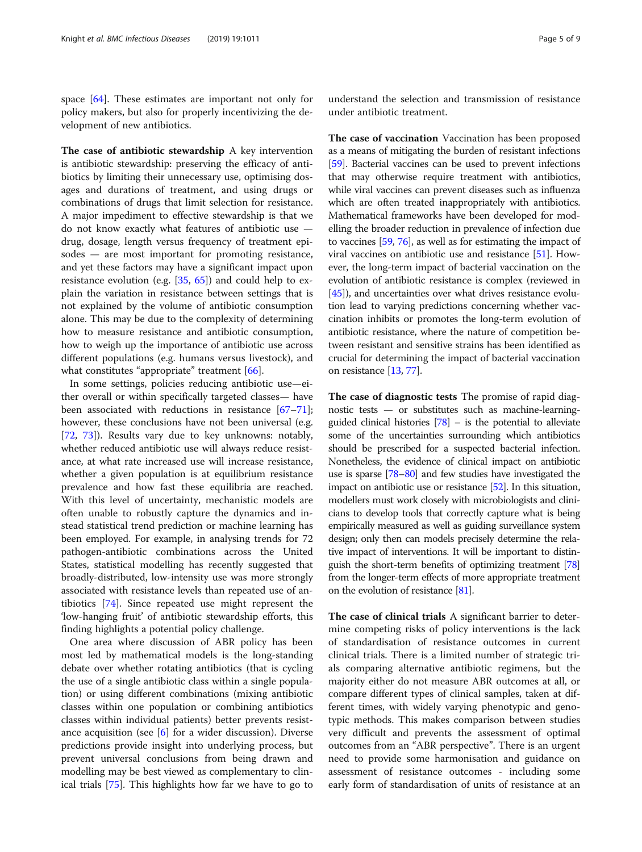space [\[64](#page-7-0)]. These estimates are important not only for policy makers, but also for properly incentivizing the development of new antibiotics.

The case of antibiotic stewardship A key intervention is antibiotic stewardship: preserving the efficacy of antibiotics by limiting their unnecessary use, optimising dosages and durations of treatment, and using drugs or combinations of drugs that limit selection for resistance. A major impediment to effective stewardship is that we do not know exactly what features of antibiotic use drug, dosage, length versus frequency of treatment episodes — are most important for promoting resistance, and yet these factors may have a significant impact upon resistance evolution (e.g. [\[35,](#page-7-0) [65](#page-7-0)]) and could help to explain the variation in resistance between settings that is not explained by the volume of antibiotic consumption alone. This may be due to the complexity of determining how to measure resistance and antibiotic consumption, how to weigh up the importance of antibiotic use across different populations (e.g. humans versus livestock), and what constitutes "appropriate" treatment [[66\]](#page-7-0).

In some settings, policies reducing antibiotic use—either overall or within specifically targeted classes— have been associated with reductions in resistance [[67](#page-7-0)-[71](#page-8-0)]; however, these conclusions have not been universal (e.g. [[72,](#page-8-0) [73\]](#page-8-0)). Results vary due to key unknowns: notably, whether reduced antibiotic use will always reduce resistance, at what rate increased use will increase resistance, whether a given population is at equilibrium resistance prevalence and how fast these equilibria are reached. With this level of uncertainty, mechanistic models are often unable to robustly capture the dynamics and instead statistical trend prediction or machine learning has been employed. For example, in analysing trends for 72 pathogen-antibiotic combinations across the United States, statistical modelling has recently suggested that broadly-distributed, low-intensity use was more strongly associated with resistance levels than repeated use of antibiotics [[74\]](#page-8-0). Since repeated use might represent the 'low-hanging fruit' of antibiotic stewardship efforts, this finding highlights a potential policy challenge.

One area where discussion of ABR policy has been most led by mathematical models is the long-standing debate over whether rotating antibiotics (that is cycling the use of a single antibiotic class within a single population) or using different combinations (mixing antibiotic classes within one population or combining antibiotics classes within individual patients) better prevents resistance acquisition (see [[6\]](#page-6-0) for a wider discussion). Diverse predictions provide insight into underlying process, but prevent universal conclusions from being drawn and modelling may be best viewed as complementary to clinical trials [[75\]](#page-8-0). This highlights how far we have to go to

understand the selection and transmission of resistance under antibiotic treatment.

The case of vaccination Vaccination has been proposed as a means of mitigating the burden of resistant infections [[59](#page-7-0)]. Bacterial vaccines can be used to prevent infections that may otherwise require treatment with antibiotics, while viral vaccines can prevent diseases such as influenza which are often treated inappropriately with antibiotics. Mathematical frameworks have been developed for modelling the broader reduction in prevalence of infection due to vaccines [[59](#page-7-0), [76\]](#page-8-0), as well as for estimating the impact of viral vaccines on antibiotic use and resistance [\[51](#page-7-0)]. However, the long-term impact of bacterial vaccination on the evolution of antibiotic resistance is complex (reviewed in [[45](#page-7-0)]), and uncertainties over what drives resistance evolution lead to varying predictions concerning whether vaccination inhibits or promotes the long-term evolution of antibiotic resistance, where the nature of competition between resistant and sensitive strains has been identified as crucial for determining the impact of bacterial vaccination on resistance [[13](#page-6-0), [77\]](#page-8-0).

The case of diagnostic tests The promise of rapid diagnostic tests — or substitutes such as machine-learningguided clinical histories  $[78]$  – is the potential to alleviate some of the uncertainties surrounding which antibiotics should be prescribed for a suspected bacterial infection. Nonetheless, the evidence of clinical impact on antibiotic use is sparse [\[78](#page-8-0)–[80](#page-8-0)] and few studies have investigated the impact on antibiotic use or resistance [\[52\]](#page-7-0). In this situation, modellers must work closely with microbiologists and clinicians to develop tools that correctly capture what is being empirically measured as well as guiding surveillance system design; only then can models precisely determine the relative impact of interventions. It will be important to distinguish the short-term benefits of optimizing treatment [\[78](#page-8-0)] from the longer-term effects of more appropriate treatment on the evolution of resistance [[81\]](#page-8-0).

The case of clinical trials A significant barrier to determine competing risks of policy interventions is the lack of standardisation of resistance outcomes in current clinical trials. There is a limited number of strategic trials comparing alternative antibiotic regimens, but the majority either do not measure ABR outcomes at all, or compare different types of clinical samples, taken at different times, with widely varying phenotypic and genotypic methods. This makes comparison between studies very difficult and prevents the assessment of optimal outcomes from an "ABR perspective". There is an urgent need to provide some harmonisation and guidance on assessment of resistance outcomes - including some early form of standardisation of units of resistance at an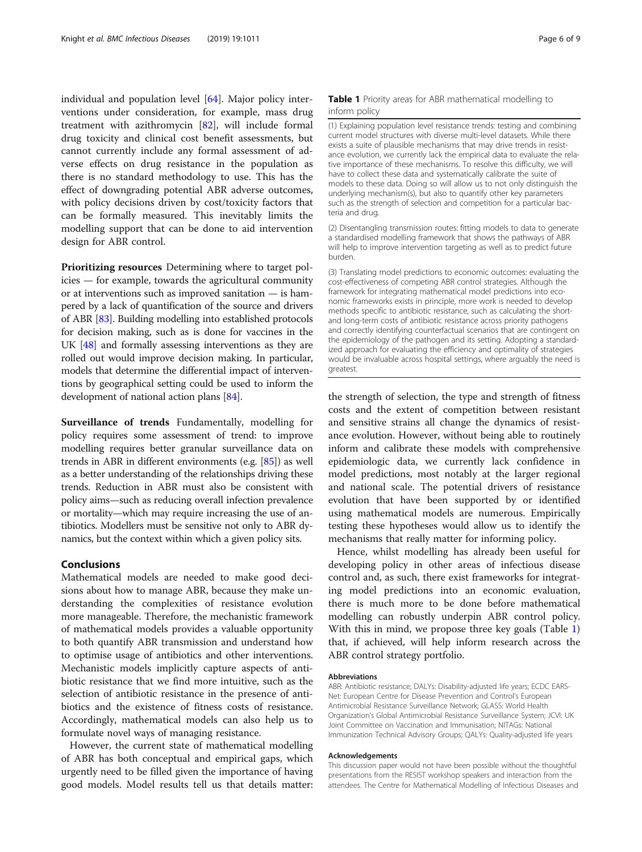individual and population level [[64](#page-7-0)]. Major policy interventions under consideration, for example, mass drug treatment with azithromycin [[82\]](#page-8-0), will include formal drug toxicity and clinical cost benefit assessments, but cannot currently include any formal assessment of adverse effects on drug resistance in the population as there is no standard methodology to use. This has the effect of downgrading potential ABR adverse outcomes, with policy decisions driven by cost/toxicity factors that can be formally measured. This inevitably limits the modelling support that can be done to aid intervention design for ABR control.

Prioritizing resources Determining where to target policies — for example, towards the agricultural community or at interventions such as improved sanitation — is hampered by a lack of quantification of the source and drivers of ABR [[83](#page-8-0)]. Building modelling into established protocols for decision making, such as is done for vaccines in the UK [\[48\]](#page-7-0) and formally assessing interventions as they are rolled out would improve decision making. In particular, models that determine the differential impact of interventions by geographical setting could be used to inform the development of national action plans [\[84\]](#page-8-0).

Surveillance of trends Fundamentally, modelling for policy requires some assessment of trend: to improve modelling requires better granular surveillance data on trends in ABR in different environments (e.g. [[85](#page-8-0)]) as well as a better understanding of the relationships driving these trends. Reduction in ABR must also be consistent with policy aims—such as reducing overall infection prevalence or mortality—which may require increasing the use of antibiotics. Modellers must be sensitive not only to ABR dynamics, but the context within which a given policy sits.

#### Conclusions

Mathematical models are needed to make good decisions about how to manage ABR, because they make understanding the complexities of resistance evolution more manageable. Therefore, the mechanistic framework of mathematical models provides a valuable opportunity to both quantify ABR transmission and understand how to optimise usage of antibiotics and other interventions. Mechanistic models implicitly capture aspects of antibiotic resistance that we find more intuitive, such as the selection of antibiotic resistance in the presence of antibiotics and the existence of fitness costs of resistance. Accordingly, mathematical models can also help us to formulate novel ways of managing resistance.

However, the current state of mathematical modelling of ABR has both conceptual and empirical gaps, which urgently need to be filled given the importance of having good models. Model results tell us that details matter:

## Table 1 Priority areas for ABR mathematical modelling to inform policy

(1) Explaining population level resistance trends: testing and combining current model structures with diverse multi-level datasets. While there exists a suite of plausible mechanisms that may drive trends in resistance evolution, we currently lack the empirical data to evaluate the relative importance of these mechanisms. To resolve this difficulty, we will have to collect these data and systematically calibrate the suite of models to these data. Doing so will allow us to not only distinguish the underlying mechanism(s), but also to quantify other key parameters such as the strength of selection and competition for a particular bacteria and drug.

(2) Disentangling transmission routes: fitting models to data to generate a standardised modelling framework that shows the pathways of ABR will help to improve intervention targeting as well as to predict future burden.

(3) Translating model predictions to economic outcomes: evaluating the cost-effectiveness of competing ABR control strategies. Although the framework for integrating mathematical model predictions into economic frameworks exists in principle, more work is needed to develop methods specific to antibiotic resistance, such as calculating the shortand long-term costs of antibiotic resistance across priority pathogens and correctly identifying counterfactual scenarios that are contingent on the epidemiology of the pathogen and its setting. Adopting a standardized approach for evaluating the efficiency and optimality of strategies would be invaluable across hospital settings, where arguably the need is greatest.

the strength of selection, the type and strength of fitness costs and the extent of competition between resistant and sensitive strains all change the dynamics of resistance evolution. However, without being able to routinely inform and calibrate these models with comprehensive epidemiologic data, we currently lack confidence in model predictions, most notably at the larger regional and national scale. The potential drivers of resistance evolution that have been supported by or identified using mathematical models are numerous. Empirically testing these hypotheses would allow us to identify the mechanisms that really matter for informing policy.

Hence, whilst modelling has already been useful for developing policy in other areas of infectious disease control and, as such, there exist frameworks for integrating model predictions into an economic evaluation, there is much more to be done before mathematical modelling can robustly underpin ABR control policy. With this in mind, we propose three key goals (Table 1) that, if achieved, will help inform research across the ABR control strategy portfolio.

#### Abbreviations

ABR: Antibiotic resistance; DALYs: Disability-adjusted life years; ECDC EARS-Net: European Centre for Disease Prevention and Control's European Antimicrobial Resistance Surveillance Network; GLASS: World Health Organization's Global Antimicrobial Resistance Surveillance System; JCVI: UK Joint Committee on Vaccination and Immunisation; NITAGs: National Immunization Technical Advisory Groups; QALYs: Quality-adjusted life years

#### Acknowledgements

This discussion paper would not have been possible without the thoughtful presentations from the RESIST workshop speakers and interaction from the attendees. The Centre for Mathematical Modelling of Infectious Diseases and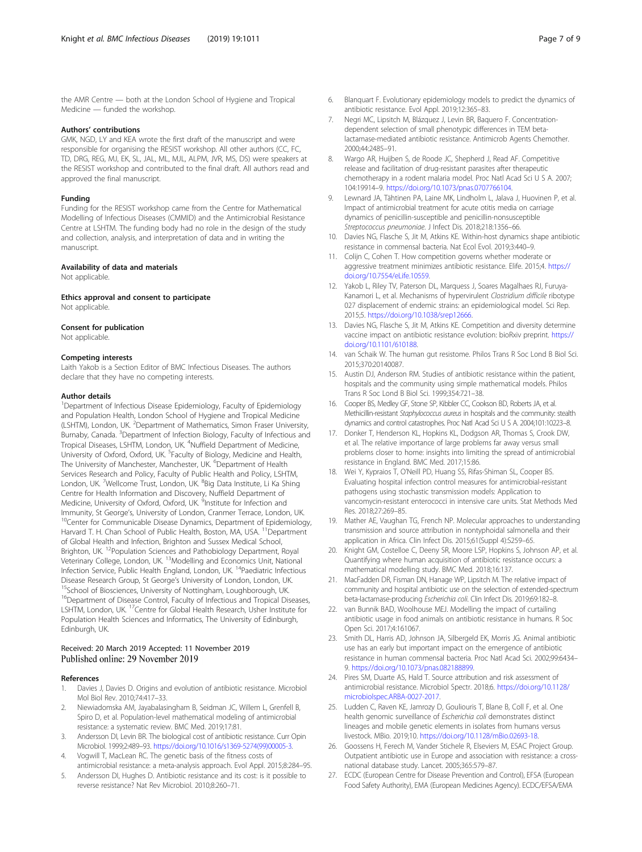<span id="page-6-0"></span>the AMR Centre — both at the London School of Hygiene and Tropical Medicine — funded the workshop.

#### Authors' contributions

GMK, NGD, LY and KEA wrote the first draft of the manuscript and were responsible for organising the RESIST workshop. All other authors (CC, FC, TD, DRG, REG, MJ, EK, SL, JAL, ML, MJL, ALPM, JVR, MS, DS) were speakers at the RESIST workshop and contributed to the final draft. All authors read and approved the final manuscript.

#### Funding

Funding for the RESIST workshop came from the Centre for Mathematical Modelling of Infectious Diseases (CMMID) and the Antimicrobial Resistance Centre at LSHTM. The funding body had no role in the design of the study and collection, analysis, and interpretation of data and in writing the manuscript.

# Availability of data and materials

Not applicable.

Ethics approval and consent to participate Not applicable.

#### Consent for publication

Not applicable.

#### Competing interests

Laith Yakob is a Section Editor of BMC Infectious Diseases. The authors declare that they have no competing interests.

#### Author details

<sup>1</sup>Department of Infectious Disease Epidemiology, Faculty of Epidemiology and Population Health, London School of Hygiene and Tropical Medicine (LSHTM), London, UK. <sup>2</sup>Department of Mathematics, Simon Fraser University, Burnaby, Canada. <sup>3</sup>Department of Infection Biology, Faculty of Infectious and Tropical Diseases, LSHTM, London, UK. <sup>4</sup>Nuffield Department of Medicine, University of Oxford, Oxford, UK. <sup>5</sup> Faculty of Biology, Medicine and Health, The University of Manchester, Manchester, UK. <sup>6</sup>Department of Health Services Research and Policy, Faculty of Public Health and Policy, LSHTM, London, UK. <sup>7</sup>Wellcome Trust, London, UK. <sup>8</sup>Big Data Institute, Li Ka Shing Centre for Health Information and Discovery, Nuffield Department of Medicine, University of Oxford, Oxford, UK. <sup>9</sup>Institute for Infection and Immunity, St George's, University of London, Cranmer Terrace, London, UK.<br><sup>10</sup>Center for Communicable Disease Dynamics, Department of Epidemiology, Harvard T. H. Chan School of Public Health, Boston, MA, USA. <sup>11</sup>Department of Global Health and Infection, Brighton and Sussex Medical School, Brighton, UK. 12Population Sciences and Pathobiology Department, Royal Veterinary College, London, UK. 13Modelling and Economics Unit, National Infection Service, Public Health England, London, UK. 14Paediatric Infectious Disease Research Group, St George's University of London, London, UK.<br><sup>15</sup>School of Biosciences, University of Nottingham, Loughborough, UK. <sup>16</sup>Department of Disease Control, Faculty of Infectious and Tropical Diseases, LSHTM, London, UK.<sup>17</sup>Centre for Global Health Research, Usher Institute for Population Health Sciences and Informatics, The University of Edinburgh, Edinburgh, UK.

#### Received: 20 March 2019 Accepted: 11 November 2019 Published online: 29 November 2019

#### References

- 1. Davies J, Davies D. Origins and evolution of antibiotic resistance. Microbiol Mol Biol Rev. 2010;74:417–33.
- 2. Niewiadomska AM, Jayabalasingham B, Seidman JC, Willem L, Grenfell B, Spiro D, et al. Population-level mathematical modeling of antimicrobial resistance: a systematic review. BMC Med. 2019;17:81.
- 3. Andersson DI, Levin BR. The biological cost of antibiotic resistance. Curr Opin Microbiol. 1999;2:489–93. [https://doi.org/10.1016/s1369-5274\(99\)00005-3.](https://doi.org/10.1016/s1369-5274(99)00005-3)
- 4. Vogwill T, MacLean RC. The genetic basis of the fitness costs of antimicrobial resistance: a meta-analysis approach. Evol Appl. 2015;8:284–95.
- 5. Andersson DI, Hughes D. Antibiotic resistance and its cost: is it possible to reverse resistance? Nat Rev Microbiol. 2010;8:260–71.
- 6. Blanquart F. Evolutionary epidemiology models to predict the dynamics of antibiotic resistance. Evol Appl. 2019;12:365–83.
- 7. Negri MC, Lipsitch M, Blázquez J, Levin BR, Baquero F. Concentrationdependent selection of small phenotypic differences in TEM betalactamase-mediated antibiotic resistance. Antimicrob Agents Chemother. 2000;44:2485–91.
- 8. Wargo AR, Huijben S, de Roode JC, Shepherd J, Read AF. Competitive release and facilitation of drug-resistant parasites after therapeutic chemotherapy in a rodent malaria model. Proc Natl Acad Sci U S A. 2007; 104:19914–9. <https://doi.org/10.1073/pnas.0707766104>.
- Lewnard JA, Tähtinen PA, Laine MK, Lindholm L, Jalava J, Huovinen P, et al. Impact of antimicrobial treatment for acute otitis media on carriage dynamics of penicillin-susceptible and penicillin-nonsusceptible Streptococcus pneumoniae. J Infect Dis. 2018;218:1356–66.
- 10. Davies NG, Flasche S, Jit M, Atkins KE. Within-host dynamics shape antibiotic resistance in commensal bacteria. Nat Ecol Evol. 2019;3:440–9.
- 11. Colijn C, Cohen T. How competition governs whether moderate or aggressive treatment minimizes antibiotic resistance. Elife. 2015;4. [https://](https://doi.org/10.7554/eLife.10559) [doi.org/10.7554/eLife.10559.](https://doi.org/10.7554/eLife.10559)
- 12. Yakob L, Riley TV, Paterson DL, Marquess J, Soares Magalhaes RJ, Furuya-Kanamori L, et al. Mechanisms of hypervirulent Clostridium difficile ribotype 027 displacement of endemic strains: an epidemiological model. Sci Rep. 2015;5. <https://doi.org/10.1038/srep12666>.
- 13. Davies NG, Flasche S, Jit M, Atkins KE. Competition and diversity determine vaccine impact on antibiotic resistance evolution: bioRxiv preprint. [https://](https://doi.org/10.1101/610188) [doi.org/10.1101/610188.](https://doi.org/10.1101/610188)
- 14. van Schaik W. The human gut resistome. Philos Trans R Soc Lond B Biol Sci. 2015;370:20140087.
- 15. Austin DJ, Anderson RM. Studies of antibiotic resistance within the patient, hospitals and the community using simple mathematical models. Philos Trans R Soc Lond B Biol Sci. 1999;354:721–38.
- 16. Cooper BS, Medley GF, Stone SP, Kibbler CC, Cookson BD, Roberts JA, et al. Methicillin-resistant Staphylococcus aureus in hospitals and the community: stealth dynamics and control catastrophes. Proc Natl Acad Sci U S A. 2004;101:10223–8.
- 17. Donker T, Henderson KL, Hopkins KL, Dodgson AR, Thomas S, Crook DW, et al. The relative importance of large problems far away versus small problems closer to home: insights into limiting the spread of antimicrobial resistance in England. BMC Med. 2017;15:86.
- 18. Wei Y, Kypraios T, O'Neill PD, Huang SS, Rifas-Shiman SL, Cooper BS. Evaluating hospital infection control measures for antimicrobial-resistant pathogens using stochastic transmission models: Application to vancomycin-resistant enterococci in intensive care units. Stat Methods Med Res. 2018;27:269–85.
- 19. Mather AE, Vaughan TG, French NP. Molecular approaches to understanding transmission and source attribution in nontyphoidal salmonella and their application in Africa. Clin Infect Dis. 2015;61(Suppl 4):S259–65.
- 20. Knight GM, Costelloe C, Deeny SR, Moore LSP, Hopkins S, Johnson AP, et al. Quantifying where human acquisition of antibiotic resistance occurs: a mathematical modelling study. BMC Med. 2018;16:137.
- 21. MacFadden DR, Fisman DN, Hanage WP, Lipsitch M. The relative impact of community and hospital antibiotic use on the selection of extended-spectrum beta-lactamase-producing Escherichia coli. Clin Infect Dis. 2019;69:182–8.
- 22. van Bunnik BAD, Woolhouse MEJ. Modelling the impact of curtailing antibiotic usage in food animals on antibiotic resistance in humans. R Soc Open Sci. 2017;4:161067.
- 23. Smith DL, Harris AD, Johnson JA, Silbergeld EK, Morris JG. Animal antibiotic use has an early but important impact on the emergence of antibiotic resistance in human commensal bacteria. Proc Natl Acad Sci. 2002;99:6434– 9. <https://doi.org/10.1073/pnas.082188899>.
- 24. Pires SM, Duarte AS, Hald T. Source attribution and risk assessment of antimicrobial resistance. Microbiol Spectr. 2018;6. [https://doi.org/10.1128/](https://doi.org/10.1128/microbiolspec.ARBA-0027-2017) [microbiolspec.ARBA-0027-2017.](https://doi.org/10.1128/microbiolspec.ARBA-0027-2017)
- 25. Ludden C, Raven KE, Jamrozy D, Gouliouris T, Blane B, Coll F, et al. One health genomic surveillance of Escherichia coli demonstrates distinct lineages and mobile genetic elements in isolates from humans versus livestock. MBio. 2019;10. [https://doi.org/10.1128/mBio.02693-18.](https://doi.org/10.1128/mBio.02693-18)
- 26. Goossens H, Ferech M, Vander Stichele R, Elseviers M, ESAC Project Group. Outpatient antibiotic use in Europe and association with resistance: a crossnational database study. Lancet. 2005;365:579–87.
- 27. ECDC (European Centre for Disease Prevention and Control), EFSA (European Food Safety Authority), EMA (European Medicines Agency). ECDC/EFSA/EMA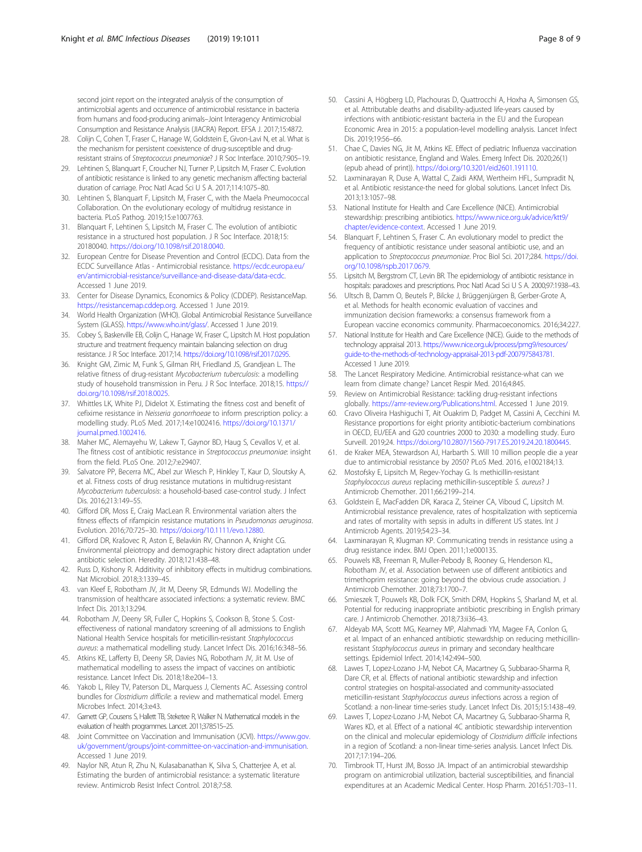<span id="page-7-0"></span>second joint report on the integrated analysis of the consumption of antimicrobial agents and occurrence of antimicrobial resistance in bacteria from humans and food-producing animals–Joint Interagency Antimicrobial Consumption and Resistance Analysis (JIACRA) Report. EFSA J. 2017;15:4872.

- 28. Colijn C, Cohen T, Fraser C, Hanage W, Goldstein E, Givon-Lavi N, et al. What is the mechanism for persistent coexistence of drug-susceptible and drugresistant strains of Streptococcus pneumoniae? J R Soc Interface. 2010;7:905–19.
- 29. Lehtinen S, Blanquart F, Croucher NJ, Turner P, Lipsitch M, Fraser C. Evolution of antibiotic resistance is linked to any genetic mechanism affecting bacterial duration of carriage. Proc Natl Acad Sci U S A. 2017;114:1075–80.
- 30. Lehtinen S, Blanquart F, Lipsitch M, Fraser C, with the Maela Pneumococcal Collaboration. On the evolutionary ecology of multidrug resistance in bacteria. PLoS Pathog. 2019;15:e1007763.
- 31. Blanquart F, Lehtinen S, Lipsitch M, Fraser C. The evolution of antibiotic resistance in a structured host population. J R Soc Interface. 2018;15: 20180040. <https://doi.org/10.1098/rsif.2018.0040>.
- 32. European Centre for Disease Prevention and Control (ECDC). Data from the ECDC Surveillance Atlas - Antimicrobial resistance. [https://ecdc.europa.eu/](https://ecdc.europa.eu/en/antimicrobial-resistance/surveillance-and-disease-data/data-ecdc) [en/antimicrobial-resistance/surveillance-and-disease-data/data-ecdc.](https://ecdc.europa.eu/en/antimicrobial-resistance/surveillance-and-disease-data/data-ecdc) Accessed 1 June 2019.
- 33. Center for Disease Dynamics, Economics & Policy (CDDEP). ResistanceMap. <https://resistancemap.cddep.org>. Accessed 1 June 2019.
- 34. World Health Organization (WHO). Global Antimicrobial Resistance Surveillance System (GLASS). <https://www.who.int/glass/>. Accessed 1 June 2019.
- 35. Cobey S, Baskerville EB, Colijn C, Hanage W, Fraser C, Lipsitch M. Host population structure and treatment frequency maintain balancing selection on drug resistance. J R Soc Interface. 2017;14. <https://doi.org/10.1098/rsif.2017.0295>.
- 36. Knight GM, Zimic M, Funk S, Gilman RH, Friedland JS, Grandjean L. The relative fitness of drug-resistant Mycobacterium tuberculosis: a modelling study of household transmission in Peru. J R Soc Interface. 2018;15. [https://](https://doi.org/10.1098/rsif.2018.0025) [doi.org/10.1098/rsif.2018.0025.](https://doi.org/10.1098/rsif.2018.0025)
- 37. Whittles LK, White PJ, Didelot X. Estimating the fitness cost and benefit of cefixime resistance in Neisseria gonorrhoeae to inform prescription policy: a modelling study. PLoS Med. 2017;14:e1002416. [https://doi.org/10.1371/](https://doi.org/10.1371/journal.pmed.1002416) [journal.pmed.1002416](https://doi.org/10.1371/journal.pmed.1002416).
- 38. Maher MC, Alemayehu W, Lakew T, Gaynor BD, Haug S, Cevallos V, et al. The fitness cost of antibiotic resistance in Streptococcus pneumoniae: insight from the field. PLoS One. 2012;7:e29407.
- 39. Salvatore PP, Becerra MC, Abel zur Wiesch P, Hinkley T, Kaur D, Sloutsky A, et al. Fitness costs of drug resistance mutations in multidrug-resistant Mycobacterium tuberculosis: a household-based case-control study. J Infect Dis. 2016;213:149–55.
- 40. Gifford DR, Moss E, Craig MacLean R. Environmental variation alters the fitness effects of rifampicin resistance mutations in Pseudomonas aeruginosa. Evolution. 2016;70:725–30. <https://doi.org/10.1111/evo.12880>.
- 41. Gifford DR, Krašovec R, Aston E, Belavkin RV, Channon A, Knight CG. Environmental pleiotropy and demographic history direct adaptation under antibiotic selection. Heredity. 2018;121:438–48.
- 42. Russ D, Kishony R. Additivity of inhibitory effects in multidrug combinations. Nat Microbiol. 2018;3:1339–45.
- 43. van Kleef E, Robotham JV, Jit M, Deeny SR, Edmunds WJ. Modelling the transmission of healthcare associated infections: a systematic review. BMC Infect Dis. 2013;13:294.
- 44. Robotham JV, Deeny SR, Fuller C, Hopkins S, Cookson B, Stone S. Costeffectiveness of national mandatory screening of all admissions to English National Health Service hospitals for meticillin-resistant Staphylococcus aureus: a mathematical modelling study. Lancet Infect Dis. 2016;16:348–56.
- 45. Atkins KE, Lafferty EI, Deeny SR, Davies NG, Robotham JV, Jit M. Use of mathematical modelling to assess the impact of vaccines on antibiotic resistance. Lancet Infect Dis. 2018;18:e204–13.
- Yakob L, Riley TV, Paterson DL, Marquess J, Clements AC. Assessing control bundles for Clostridium difficile: a review and mathematical model. Emerg Microbes Infect. 2014;3:e43.
- 47. Garnett GP, Cousens S, Hallett TB, Steketee R, Walker N. Mathematical models in the evaluation of health programmes. Lancet. 2011;378:515-25.
- 48. Joint Committee on Vaccination and Immunisation (JCVI). [https://www.gov.](https://www.gov.uk/government/groups/joint-committee-on-vaccination-and-immunisation) [uk/government/groups/joint-committee-on-vaccination-and-immunisation.](https://www.gov.uk/government/groups/joint-committee-on-vaccination-and-immunisation) Accessed 1 June 2019.
- 49. Naylor NR, Atun R, Zhu N, Kulasabanathan K, Silva S, Chatterjee A, et al. Estimating the burden of antimicrobial resistance: a systematic literature review. Antimicrob Resist Infect Control. 2018;7:58.
- 50. Cassini A, Högberg LD, Plachouras D, Quattrocchi A, Hoxha A, Simonsen GS, et al. Attributable deaths and disability-adjusted life-years caused by infections with antibiotic-resistant bacteria in the EU and the European Economic Area in 2015: a population-level modelling analysis. Lancet Infect Dis. 2019;19:56–66.
- 51. Chae C, Davies NG, Jit M, Atkins KE. Effect of pediatric Influenza vaccination on antibiotic resistance, England and Wales. Emerg Infect Dis. 2020;26(1) (epub ahead of print)). [https://doi.org/10.3201/eid2601.191110.](https://doi.org/10.3201/eid2601.191110)
- 52. Laxminarayan R, Duse A, Wattal C, Zaidi AKM, Wertheim HFL, Sumpradit N, et al. Antibiotic resistance-the need for global solutions. Lancet Infect Dis. 2013;13:1057–98.
- 53. National Institute for Health and Care Excellence (NICE). Antimicrobial stewardship: prescribing antibiotics. [https://www.nice.org.uk/advice/ktt9/](https://www.nice.org.uk/advice/ktt9/chapter/evidence-context) [chapter/evidence-context.](https://www.nice.org.uk/advice/ktt9/chapter/evidence-context) Accessed 1 June 2019.
- 54. Blanquart F, Lehtinen S, Fraser C. An evolutionary model to predict the frequency of antibiotic resistance under seasonal antibiotic use, and an application to Streptococcus pneumoniae. Proc Biol Sci. 2017;284. [https://doi.](https://doi.org/10.1098/rspb.2017.0679) [org/10.1098/rspb.2017.0679](https://doi.org/10.1098/rspb.2017.0679).
- 55. Lipsitch M, Bergstrom CT, Levin BR. The epidemiology of antibiotic resistance in hospitals: paradoxes and prescriptions. Proc Natl Acad Sci U S A. 2000;97:1938–43.
- 56. Ultsch B, Damm O, Beutels P, Bilcke J, Brüggenjürgen B, Gerber-Grote A, et al. Methods for health economic evaluation of vaccines and immunization decision frameworks: a consensus framework from a European vaccine economics community. Pharmacoeconomics. 2016;34:227.
- 57. National Institute for Health and Care Excellence (NICE). Guide to the methods of technology appraisal 2013. [https://www.nice.org.uk/process/pmg9/resources/](https://www.nice.org.uk/process/pmg9/resources/guide-to-the-methods-of-technology-appraisal-2013-pdf-2007975843781) [guide-to-the-methods-of-technology-appraisal-2013-pdf-2007975843781](https://www.nice.org.uk/process/pmg9/resources/guide-to-the-methods-of-technology-appraisal-2013-pdf-2007975843781). Accessed 1 June 2019.
- 58. The Lancet Respiratory Medicine. Antimicrobial resistance-what can we learn from climate change? Lancet Respir Med. 2016;4:845.
- 59. Review on Antimicrobial Resistance: tackling drug-resistant infections globally. [https://amr-review.org/Publications.html.](https://amr-review.org/Publications.html) Accessed 1 June 2019.
- 60. Cravo Oliveira Hashiguchi T, Ait Ouakrim D, Padget M, Cassini A, Cecchini M. Resistance proportions for eight priority antibiotic-bacterium combinations in OECD, EU/EEA and G20 countries 2000 to 2030: a modelling study. Euro Surveill. 2019;24. <https://doi.org/10.2807/1560-7917.ES.2019.24.20.1800445>.
- 61. de Kraker MEA, Stewardson AJ, Harbarth S. Will 10 million people die a year due to antimicrobial resistance by 2050? PLoS Med. 2016, e1002184;13.
- 62. Mostofsky E, Lipsitch M, Regev-Yochay G. Is methicillin-resistant Staphylococcus aureus replacing methicillin-susceptible S. aureus? J Antimicrob Chemother. 2011;66:2199–214.
- 63. Goldstein E, MacFadden DR, Karaca Z, Steiner CA, Viboud C, Lipsitch M. Antimicrobial resistance prevalence, rates of hospitalization with septicemia and rates of mortality with sepsis in adults in different US states. Int J Antimicrob Agents. 2019;54:23–34.
- 64. Laxminarayan R, Klugman KP. Communicating trends in resistance using a drug resistance index. BMJ Open. 2011;1:e000135.
- 65. Pouwels KB, Freeman R, Muller-Pebody B, Rooney G, Henderson KL, Robotham JV, et al. Association between use of different antibiotics and trimethoprim resistance: going beyond the obvious crude association. J Antimicrob Chemother. 2018;73:1700–7.
- 66. Smieszek T, Pouwels KB, Dolk FCK, Smith DRM, Hopkins S, Sharland M, et al. Potential for reducing inappropriate antibiotic prescribing in English primary care. J Antimicrob Chemother. 2018;73:ii36–43.
- 67. Aldeyab MA, Scott MG, Kearney MP, Alahmadi YM, Magee FA, Conlon G, et al. Impact of an enhanced antibiotic stewardship on reducing methicillinresistant Staphylococcus aureus in primary and secondary healthcare settings. Epidemiol Infect. 2014;142:494–500.
- 68. Lawes T, Lopez-Lozano J-M, Nebot CA, Macartney G, Subbarao-Sharma R, Dare CR, et al. Effects of national antibiotic stewardship and infection control strategies on hospital-associated and community-associated meticillin-resistant Staphylococcus aureus infections across a region of Scotland: a non-linear time-series study. Lancet Infect Dis. 2015;15:1438–49.
- 69. Lawes T, Lopez-Lozano J-M, Nebot CA, Macartney G, Subbarao-Sharma R, Wares KD, et al. Effect of a national 4C antibiotic stewardship intervention on the clinical and molecular epidemiology of Clostridium difficile infections in a region of Scotland: a non-linear time-series analysis. Lancet Infect Dis. 2017;17:194–206.
- 70. Timbrook TT, Hurst JM, Bosso JA. Impact of an antimicrobial stewardship program on antimicrobial utilization, bacterial susceptibilities, and financial expenditures at an Academic Medical Center. Hosp Pharm. 2016;51:703–11.